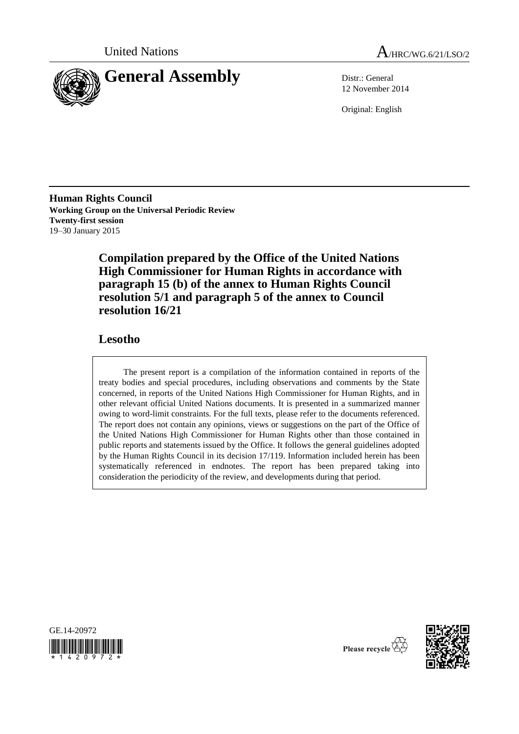



12 November 2014

Original: English

**Human Rights Council Working Group on the Universal Periodic Review Twenty-first session** 19–30 January 2015

> **Compilation prepared by the Office of the United Nations High Commissioner for Human Rights in accordance with paragraph 15 (b) of the annex to Human Rights Council resolution 5/1 and paragraph 5 of the annex to Council resolution 16/21**

# **Lesotho**

The present report is a compilation of the information contained in reports of the treaty bodies and special procedures, including observations and comments by the State concerned, in reports of the United Nations High Commissioner for Human Rights, and in other relevant official United Nations documents. It is presented in a summarized manner owing to word-limit constraints. For the full texts, please refer to the documents referenced. The report does not contain any opinions, views or suggestions on the part of the Office of the United Nations High Commissioner for Human Rights other than those contained in public reports and statements issued by the Office. It follows the general guidelines adopted by the Human Rights Council in its decision 17/119. Information included herein has been systematically referenced in endnotes. The report has been prepared taking into consideration the periodicity of the review, and developments during that period.





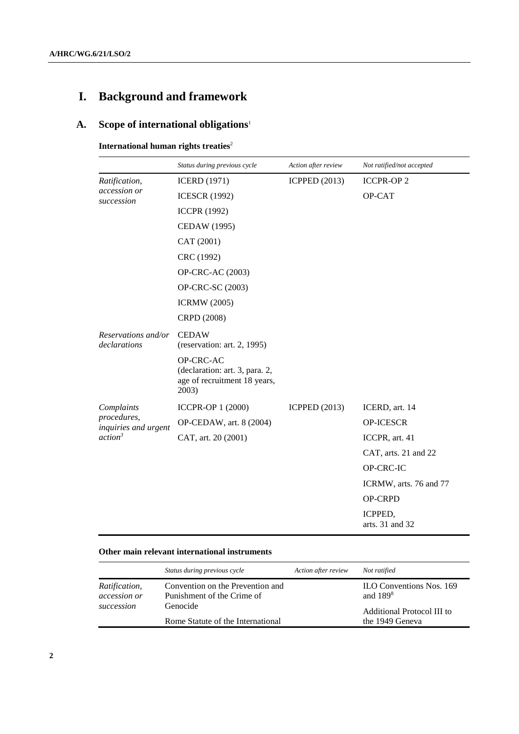# **I. Background and framework**

# **A. Scope of international obligations**<sup>1</sup>

**International human rights treaties<sup>2</sup>** 

|                                             | Status during previous cycle                                                         | Action after review  | Not ratified/not accepted  |
|---------------------------------------------|--------------------------------------------------------------------------------------|----------------------|----------------------------|
| Ratification,<br>accession or<br>succession | <b>ICERD</b> (1971)                                                                  | <b>ICPPED</b> (2013) | <b>ICCPR-OP2</b>           |
|                                             | <b>ICESCR (1992)</b>                                                                 |                      | OP-CAT                     |
|                                             | <b>ICCPR (1992)</b>                                                                  |                      |                            |
|                                             | <b>CEDAW</b> (1995)                                                                  |                      |                            |
|                                             | CAT (2001)                                                                           |                      |                            |
|                                             | CRC (1992)                                                                           |                      |                            |
|                                             | OP-CRC-AC (2003)                                                                     |                      |                            |
|                                             | OP-CRC-SC (2003)                                                                     |                      |                            |
|                                             | <b>ICRMW</b> (2005)                                                                  |                      |                            |
|                                             | CRPD (2008)                                                                          |                      |                            |
| Reservations and/or<br>declarations         | <b>CEDAW</b><br>(reservation: art. 2, 1995)                                          |                      |                            |
|                                             | OP-CRC-AC<br>(declaration: art. 3, para. 2,<br>age of recruitment 18 years,<br>2003) |                      |                            |
| Complaints                                  | <b>ICCPR-OP 1 (2000)</b>                                                             | <b>ICPPED</b> (2013) | ICERD, art. 14             |
| procedures,<br>inquiries and urgent         | OP-CEDAW, art. 8 (2004)                                                              |                      | <b>OP-ICESCR</b>           |
| action <sup>3</sup>                         | CAT, art. 20 (2001)                                                                  |                      | ICCPR, art. 41             |
|                                             |                                                                                      |                      | CAT, arts. 21 and 22       |
|                                             |                                                                                      |                      | OP-CRC-IC                  |
|                                             |                                                                                      |                      | ICRMW, arts. 76 and 77     |
|                                             |                                                                                      |                      | OP-CRPD                    |
|                                             |                                                                                      |                      | ICPPED,<br>arts. 31 and 32 |

## **Other main relevant international instruments**

|                                                    | Status during previous cycle                                   | Action after review | Not ratified                                  |
|----------------------------------------------------|----------------------------------------------------------------|---------------------|-----------------------------------------------|
| <i>Ratification,</i><br>accession or<br>succession | Convention on the Prevention and<br>Punishment of the Crime of |                     | <b>ILO Conventions Nos. 169</b><br>and $1898$ |
|                                                    | Genocide<br>Rome Statute of the International                  |                     | Additional Protocol III to<br>the 1949 Geneva |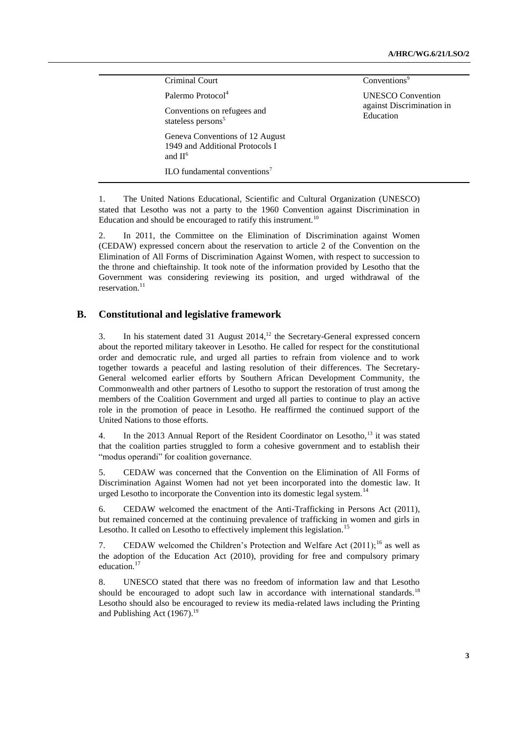| Criminal Court                                                                   | Conventions <sup>9</sup>               |
|----------------------------------------------------------------------------------|----------------------------------------|
| Palermo Protocol <sup>4</sup>                                                    | <b>UNESCO</b> Convention               |
| Conventions on refugees and<br>stateless persons <sup>5</sup>                    | against Discrimination in<br>Education |
| Geneva Conventions of 12 August<br>1949 and Additional Protocols I<br>and $II^6$ |                                        |
| ILO fundamental conventions <sup>7</sup>                                         |                                        |

1. The United Nations Educational, Scientific and Cultural Organization (UNESCO) stated that Lesotho was not a party to the 1960 Convention against Discrimination in Education and should be encouraged to ratify this instrument.<sup>10</sup>

2. In 2011, the Committee on the Elimination of Discrimination against Women (CEDAW) expressed concern about the reservation to article 2 of the Convention on the Elimination of All Forms of Discrimination Against Women, with respect to succession to the throne and chieftainship. It took note of the information provided by Lesotho that the Government was considering reviewing its position, and urged withdrawal of the reservation.<sup>11</sup>

#### **B. Constitutional and legislative framework**

3. In his statement dated 31 August 2014,<sup>12</sup> the Secretary-General expressed concern about the reported military takeover in Lesotho. He called for respect for the constitutional order and democratic rule, and urged all parties to refrain from violence and to work together towards a peaceful and lasting resolution of their differences. The Secretary-General welcomed earlier efforts by Southern African Development Community, the Commonwealth and other partners of Lesotho to support the restoration of trust among the members of the Coalition Government and urged all parties to continue to play an active role in the promotion of peace in Lesotho. He reaffirmed the continued support of the United Nations to those efforts.

4. In the 2013 Annual Report of the Resident Coordinator on Lesotho,<sup>13</sup> it was stated that the coalition parties struggled to form a cohesive government and to establish their "modus operandi" for coalition governance.

5. CEDAW was concerned that the Convention on the Elimination of All Forms of Discrimination Against Women had not yet been incorporated into the domestic law. It urged Lesotho to incorporate the Convention into its domestic legal system.<sup>14</sup>

6. CEDAW welcomed the enactment of the Anti-Trafficking in Persons Act (2011), but remained concerned at the continuing prevalence of trafficking in women and girls in Lesotho. It called on Lesotho to effectively implement this legislation.<sup>15</sup>

7. CEDAW welcomed the Children's Protection and Welfare Act  $(2011)$ ;<sup>16</sup> as well as the adoption of the Education Act (2010), providing for free and compulsory primary education.<sup>17</sup>

8. UNESCO stated that there was no freedom of information law and that Lesotho should be encouraged to adopt such law in accordance with international standards.<sup>18</sup> Lesotho should also be encouraged to review its media-related laws including the Printing and Publishing Act  $(1967).$ <sup>19</sup>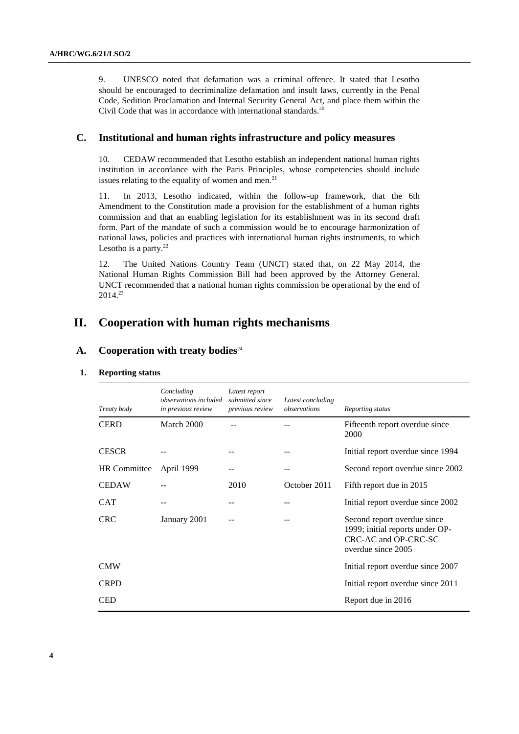9. UNESCO noted that defamation was a criminal offence. It stated that Lesotho should be encouraged to decriminalize defamation and insult laws, currently in the Penal Code, Sedition Proclamation and Internal Security General Act, and place them within the Civil Code that was in accordance with international standards.<sup>20</sup>

#### **C. Institutional and human rights infrastructure and policy measures**

10. CEDAW recommended that Lesotho establish an independent national human rights institution in accordance with the Paris Principles, whose competencies should include issues relating to the equality of women and men. $21$ 

11. In 2013, Lesotho indicated, within the follow-up framework, that the 6th Amendment to the Constitution made a provision for the establishment of a human rights commission and that an enabling legislation for its establishment was in its second draft form. Part of the mandate of such a commission would be to encourage harmonization of national laws, policies and practices with international human rights instruments, to which Lesotho is a party. $22$ 

12. The United Nations Country Team (UNCT) stated that, on 22 May 2014, the National Human Rights Commission Bill had been approved by the Attorney General. UNCT recommended that a national human rights commission be operational by the end of 2014.<sup>23</sup>

# **II. Cooperation with human rights mechanisms**

# A. Cooperation with treaty bodies<sup>24</sup>

| 1. | <b>Reporting status</b> |  |
|----|-------------------------|--|
|----|-------------------------|--|

| Treaty body         | Concluding<br><i>observations included</i><br>in previous review | Latest report<br>submitted since<br>previous review | Latest concluding<br>observations | Reporting status                                                                                             |
|---------------------|------------------------------------------------------------------|-----------------------------------------------------|-----------------------------------|--------------------------------------------------------------------------------------------------------------|
| <b>CERD</b>         | March 2000                                                       |                                                     |                                   | Fifteenth report overdue since<br>2000                                                                       |
| <b>CESCR</b>        |                                                                  |                                                     |                                   | Initial report overdue since 1994                                                                            |
| <b>HR</b> Committee | April 1999                                                       |                                                     |                                   | Second report overdue since 2002                                                                             |
| <b>CEDAW</b>        |                                                                  | 2010                                                | October 2011                      | Fifth report due in 2015                                                                                     |
| <b>CAT</b>          |                                                                  |                                                     |                                   | Initial report overdue since 2002                                                                            |
| <b>CRC</b>          | January 2001                                                     |                                                     |                                   | Second report overdue since<br>1999; initial reports under OP-<br>CRC-AC and OP-CRC-SC<br>overdue since 2005 |
| <b>CMW</b>          |                                                                  |                                                     |                                   | Initial report overdue since 2007                                                                            |
| <b>CRPD</b>         |                                                                  |                                                     |                                   | Initial report overdue since 2011                                                                            |
| <b>CED</b>          |                                                                  |                                                     |                                   | Report due in 2016                                                                                           |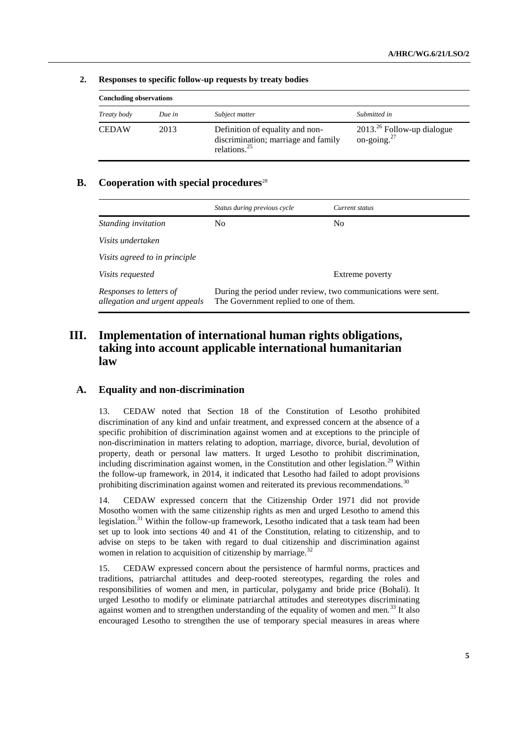| <b>Concluding observations</b> |        |                                                                                                    |                                                |
|--------------------------------|--------|----------------------------------------------------------------------------------------------------|------------------------------------------------|
| Treaty body                    | Due in | Subject matter                                                                                     | Submitted in                                   |
| <b>CEDAW</b>                   | 2013   | Definition of equality and non-<br>discrimination; marriage and family<br>relations. <sup>25</sup> | $2013.26$ Follow-up dialogue<br>on-going. $27$ |

#### **2. Responses to specific follow-up requests by treaty bodies**

# **B. Cooperation with special procedures**<sup>28</sup>

|                                                          | Status during previous cycle                                                                            | Current status  |
|----------------------------------------------------------|---------------------------------------------------------------------------------------------------------|-----------------|
| Standing invitation                                      | N <sub>0</sub>                                                                                          | N <sub>0</sub>  |
| Visits undertaken                                        |                                                                                                         |                 |
| Visits agreed to in principle                            |                                                                                                         |                 |
| <i>Visits requested</i>                                  |                                                                                                         | Extreme poverty |
| Responses to letters of<br>allegation and urgent appeals | During the period under review, two communications were sent.<br>The Government replied to one of them. |                 |

# **III. Implementation of international human rights obligations, taking into account applicable international humanitarian law**

## **A. Equality and non-discrimination**

13. CEDAW noted that Section 18 of the Constitution of Lesotho prohibited discrimination of any kind and unfair treatment, and expressed concern at the absence of a specific prohibition of discrimination against women and at exceptions to the principle of non-discrimination in matters relating to adoption, marriage, divorce, burial, devolution of property, death or personal law matters. It urged Lesotho to prohibit discrimination, including discrimination against women, in the Constitution and other legislation.<sup>29</sup> Within the follow-up framework, in 2014, it indicated that Lesotho had failed to adopt provisions prohibiting discrimination against women and reiterated its previous recommendations.<sup>30</sup>

14. CEDAW expressed concern that the Citizenship Order 1971 did not provide Mosotho women with the same citizenship rights as men and urged Lesotho to amend this legislation.<sup>31</sup> Within the follow-up framework, Lesotho indicated that a task team had been set up to look into sections 40 and 41 of the Constitution, relating to citizenship, and to advise on steps to be taken with regard to dual citizenship and discrimination against women in relation to acquisition of citizenship by marriage. $32$ 

15. CEDAW expressed concern about the persistence of harmful norms, practices and traditions, patriarchal attitudes and deep-rooted stereotypes, regarding the roles and responsibilities of women and men, in particular, polygamy and bride price (Bohali). It urged Lesotho to modify or eliminate patriarchal attitudes and stereotypes discriminating against women and to strengthen understanding of the equality of women and men.<sup>33</sup> It also encouraged Lesotho to strengthen the use of temporary special measures in areas where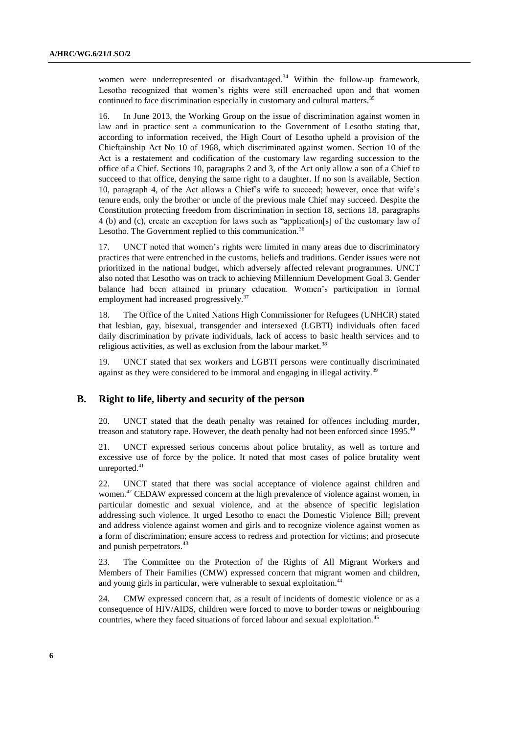women were underrepresented or disadvantaged.<sup>34</sup> Within the follow-up framework, Lesotho recognized that women's rights were still encroached upon and that women continued to face discrimination especially in customary and cultural matters.<sup>35</sup>

16. In June 2013, the Working Group on the issue of discrimination against women in law and in practice sent a communication to the Government of Lesotho stating that, according to information received, the High Court of Lesotho upheld a provision of the Chieftainship Act No 10 of 1968, which discriminated against women. Section 10 of the Act is a restatement and codification of the customary law regarding succession to the office of a Chief. Sections 10, paragraphs 2 and 3, of the Act only allow a son of a Chief to succeed to that office, denying the same right to a daughter. If no son is available, Section 10, paragraph 4, of the Act allows a Chief's wife to succeed; however, once that wife's tenure ends, only the brother or uncle of the previous male Chief may succeed. Despite the Constitution protecting freedom from discrimination in section 18, sections 18, paragraphs 4 (b) and (c), create an exception for laws such as "application[s] of the customary law of Lesotho. The Government replied to this communication.<sup>36</sup>

17. UNCT noted that women's rights were limited in many areas due to discriminatory practices that were entrenched in the customs, beliefs and traditions. Gender issues were not prioritized in the national budget, which adversely affected relevant programmes. UNCT also noted that Lesotho was on track to achieving Millennium Development Goal 3. Gender balance had been attained in primary education. Women's participation in formal employment had increased progressively.<sup>3</sup>

18. The Office of the United Nations High Commissioner for Refugees (UNHCR) stated that [lesbian,](http://en.wiktionary.org/wiki/lesbian#English) [gay,](http://en.wiktionary.org/wiki/gay#English) [bisexual,](http://en.wiktionary.org/wiki/bisexual#English) [transgender](http://en.wiktionary.org/wiki/transgender#English) and [intersexed](http://en.wiktionary.org/wiki/intersexed#English) (LGBTI) individuals often faced daily discrimination by private individuals, lack of access to basic health services and to religious activities, as well as exclusion from the labour market. $38$ 

19. UNCT stated that sex workers and LGBTI persons were continually discriminated against as they were considered to be immoral and engaging in illegal activity.<sup>39</sup>

#### **B. Right to life, liberty and security of the person**

20. UNCT stated that the death penalty was retained for offences including murder, treason and statutory rape. However, the death penalty had not been enforced since 1995.<sup>40</sup>

21. UNCT expressed serious concerns about police brutality, as well as torture and excessive use of force by the police. It noted that most cases of police brutality went unreported.<sup>41</sup>

22. UNCT stated that there was social acceptance of violence against children and women.<sup>42</sup> CEDAW expressed concern at the high prevalence of violence against women, in particular domestic and sexual violence, and at the absence of specific legislation addressing such violence. It urged Lesotho to enact the Domestic Violence Bill; prevent and address violence against women and girls and to recognize violence against women as a form of discrimination; ensure access to redress and protection for victims; and prosecute and punish perpetrators.<sup>43</sup>

23. The Committee on the Protection of the Rights of All Migrant Workers and Members of Their Families (CMW) expressed concern that migrant women and children, and young girls in particular, were vulnerable to sexual exploitation.<sup>44</sup>

24. CMW expressed concern that, as a result of incidents of domestic violence or as a consequence of HIV/AIDS, children were forced to move to border towns or neighbouring countries, where they faced situations of forced labour and sexual exploitation.<sup>45</sup>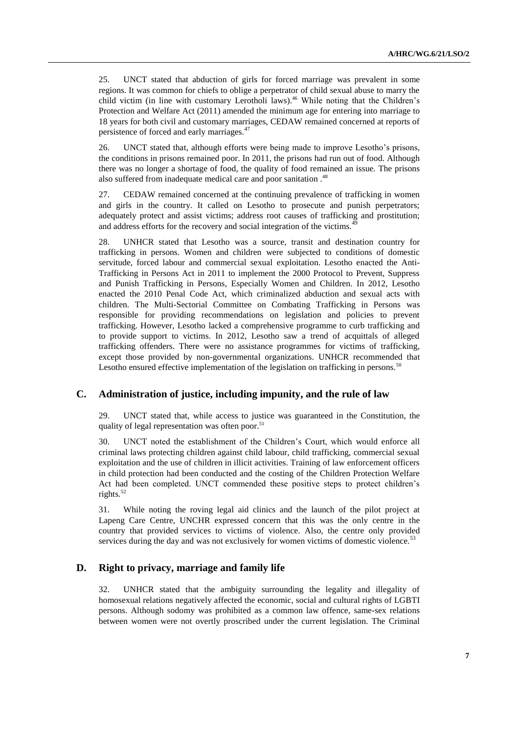25. UNCT stated that abduction of girls for forced marriage was prevalent in some regions. It was common for chiefs to oblige a perpetrator of child sexual abuse to marry the child victim (in line with customary Lerotholi laws).<sup>46</sup> While noting that the Children's Protection and Welfare Act (2011) amended the minimum age for entering into marriage to 18 years for both civil and customary marriages, CEDAW remained concerned at reports of persistence of forced and early marriages.<sup>47</sup>

26. UNCT stated that, although efforts were being made to improve Lesotho's prisons, the conditions in prisons remained poor. In 2011, the prisons had run out of food. Although there was no longer a shortage of food, the quality of food remained an issue. The prisons also suffered from inadequate medical care and poor sanitation.<sup>48</sup>

27. CEDAW remained concerned at the continuing prevalence of trafficking in women and girls in the country. It called on Lesotho to prosecute and punish perpetrators; adequately protect and assist victims; address root causes of trafficking and prostitution; and address efforts for the recovery and social integration of the victims.<sup>4</sup>

28. UNHCR stated that Lesotho was a source, transit and destination country for trafficking in persons. Women and children were subjected to conditions of domestic servitude, forced labour and commercial sexual exploitation. Lesotho enacted the Anti-Trafficking in Persons Act in 2011 to implement the 2000 Protocol to Prevent, Suppress and Punish Trafficking in Persons, Especially Women and Children. In 2012, Lesotho enacted the 2010 Penal Code Act, which criminalized abduction and sexual acts with children. The Multi-Sectorial Committee on Combating Trafficking in Persons was responsible for providing recommendations on legislation and policies to prevent trafficking. However, Lesotho lacked a comprehensive programme to curb trafficking and to provide support to victims. In 2012, Lesotho saw a trend of acquittals of alleged trafficking offenders. There were no assistance programmes for victims of trafficking, except those provided by non-governmental organizations. UNHCR recommended that Lesotho ensured effective implementation of the legislation on trafficking in persons.<sup>50</sup>

#### **C. Administration of justice, including impunity, and the rule of law**

29. UNCT stated that, while access to justice was guaranteed in the Constitution, the quality of legal representation was often poor.<sup>51</sup>

30. UNCT noted the establishment of the Children's Court, which would enforce all criminal laws protecting children against child labour, child trafficking, commercial sexual exploitation and the use of children in illicit activities. Training of law enforcement officers in child protection had been conducted and the costing of the Children Protection Welfare Act had been completed. UNCT commended these positive steps to protect children's rights. $52$ 

31. While noting the roving legal aid clinics and the launch of the pilot project at Lapeng Care Centre, UNCHR expressed concern that this was the only centre in the country that provided services to victims of violence. Also, the centre only provided services during the day and was not exclusively for women victims of domestic violence. $5<sup>3</sup>$ 

#### **D. Right to privacy, marriage and family life**

32. UNHCR stated that the ambiguity surrounding the legality and illegality of homosexual relations negatively affected the economic, social and cultural rights of LGBTI persons. Although sodomy was prohibited as a common law offence, same-sex relations between women were not overtly proscribed under the current legislation. The Criminal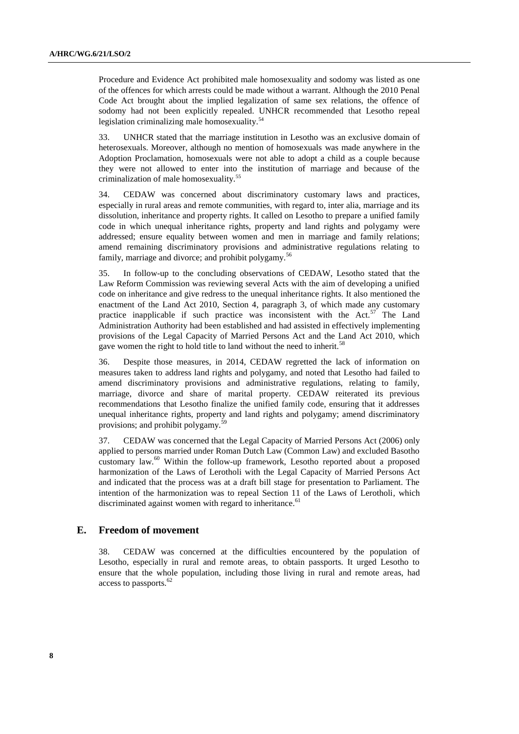Procedure and Evidence Act prohibited male homosexuality and sodomy was listed as one of the offences for which arrests could be made without a warrant. Although the 2010 Penal Code Act brought about the implied legalization of same sex relations, the offence of sodomy had not been explicitly repealed. UNHCR recommended that Lesotho repeal legislation criminalizing male homosexuality.<sup>54</sup>

33. UNHCR stated that the marriage institution in Lesotho was an exclusive domain of heterosexuals. Moreover, although no mention of homosexuals was made anywhere in the Adoption Proclamation, homosexuals were not able to adopt a child as a couple because they were not allowed to enter into the institution of marriage and because of the criminalization of male homosexuality.<sup>55</sup>

34. CEDAW was concerned about discriminatory customary laws and practices, especially in rural areas and remote communities, with regard to, inter alia, marriage and its dissolution, inheritance and property rights. It called on Lesotho to prepare a unified family code in which unequal inheritance rights, property and land rights and polygamy were addressed; ensure equality between women and men in marriage and family relations; amend remaining discriminatory provisions and administrative regulations relating to family, marriage and divorce; and prohibit polygamy.<sup>56</sup>

35. In follow-up to the concluding observations of CEDAW, Lesotho stated that the Law Reform Commission was reviewing several Acts with the aim of developing a unified code on inheritance and give redress to the unequal inheritance rights. It also mentioned the enactment of the Land Act 2010, Section 4, paragraph 3, of which made any customary practice inapplicable if such practice was inconsistent with the Act. $57$  The Land Administration Authority had been established and had assisted in effectively implementing provisions of the Legal Capacity of Married Persons Act and the Land Act 2010, which gave women the right to hold title to land without the need to inherit.<sup>58</sup>

36. Despite those measures, in 2014, CEDAW regretted the lack of information on measures taken to address land rights and polygamy, and noted that Lesotho had failed to amend discriminatory provisions and administrative regulations, relating to family, marriage, divorce and share of marital property. CEDAW reiterated its previous recommendations that Lesotho finalize the unified family code, ensuring that it addresses unequal inheritance rights, property and land rights and polygamy; amend discriminatory provisions; and prohibit polygamy.<sup>59</sup>

37. CEDAW was concerned that the Legal Capacity of Married Persons Act (2006) only applied to persons married under Roman Dutch Law (Common Law) and excluded Basotho customary law.<sup>60</sup> Within the follow-up framework, Lesotho reported about a proposed harmonization of the Laws of Lerotholi with the Legal Capacity of Married Persons Act and indicated that the process was at a draft bill stage for presentation to Parliament. The intention of the harmonization was to repeal Section 11 of the Laws of Lerotholi, which discriminated against women with regard to inheritance.<sup>61</sup>

#### **E. Freedom of movement**

38. CEDAW was concerned at the difficulties encountered by the population of Lesotho, especially in rural and remote areas, to obtain passports. It urged Lesotho to ensure that the whole population, including those living in rural and remote areas, had access to passports.<sup>62</sup>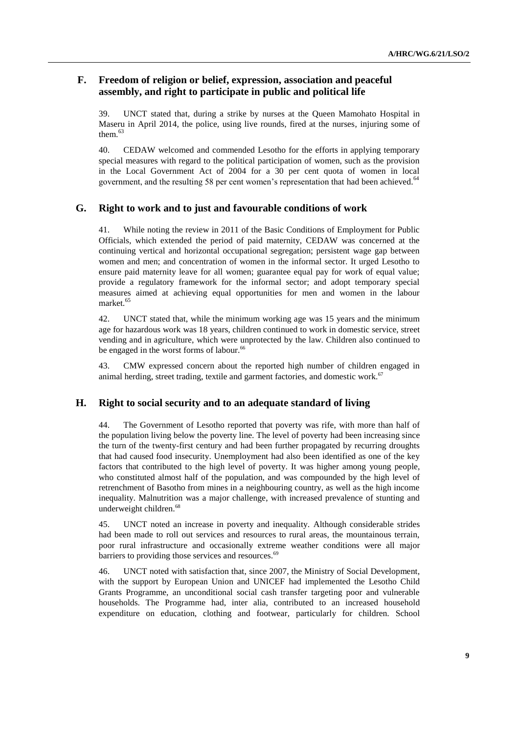# **F. Freedom of religion or belief, expression, association and peaceful assembly, and right to participate in public and political life**

39. UNCT stated that, during a strike by nurses at the Queen Mamohato Hospital in Maseru in April 2014, the police, using live rounds, fired at the nurses, injuring some of them. $63$ 

40. CEDAW welcomed and commended Lesotho for the efforts in applying temporary special measures with regard to the political participation of women, such as the provision in the Local Government Act of 2004 for a 30 per cent quota of women in local government, and the resulting 58 per cent women's representation that had been achieved.<sup>64</sup>

#### **G. Right to work and to just and favourable conditions of work**

41. While noting the review in 2011 of the Basic Conditions of Employment for Public Officials, which extended the period of paid maternity, CEDAW was concerned at the continuing vertical and horizontal occupational segregation; persistent wage gap between women and men; and concentration of women in the informal sector. It urged Lesotho to ensure paid maternity leave for all women; guarantee equal pay for work of equal value; provide a regulatory framework for the informal sector; and adopt temporary special measures aimed at achieving equal opportunities for men and women in the labour market.<sup>65</sup>

42. UNCT stated that, while the minimum working age was 15 years and the minimum age for hazardous work was 18 years, children continued to work in domestic service, street vending and in agriculture, which were unprotected by the law. Children also continued to be engaged in the worst forms of labour.<sup>66</sup>

43. CMW expressed concern about the reported high number of children engaged in animal herding, street trading, textile and garment factories, and domestic work.<sup>67</sup>

#### **H. Right to social security and to an adequate standard of living**

44. The Government of Lesotho reported that poverty was rife, with more than half of the population living below the poverty line. The level of poverty had been increasing since the turn of the twenty-first century and had been further propagated by recurring droughts that had caused food insecurity. Unemployment had also been identified as one of the key factors that contributed to the high level of poverty. It was higher among young people, who constituted almost half of the population, and was compounded by the high level of retrenchment of Basotho from mines in a neighbouring country, as well as the high income inequality. Malnutrition was a major challenge, with increased prevalence of stunting and underweight children.<sup>68</sup>

45. UNCT noted an increase in poverty and inequality. Although considerable strides had been made to roll out services and resources to rural areas, the mountainous terrain, poor rural infrastructure and occasionally extreme weather conditions were all major barriers to providing those services and resources.<sup>69</sup>

46. UNCT noted with satisfaction that, since 2007, the Ministry of Social Development, with the support by European Union and UNICEF had implemented the Lesotho Child Grants Programme, an unconditional social cash transfer targeting poor and vulnerable households. The Programme had, inter alia, contributed to an increased household expenditure on education, clothing and footwear, particularly for children. School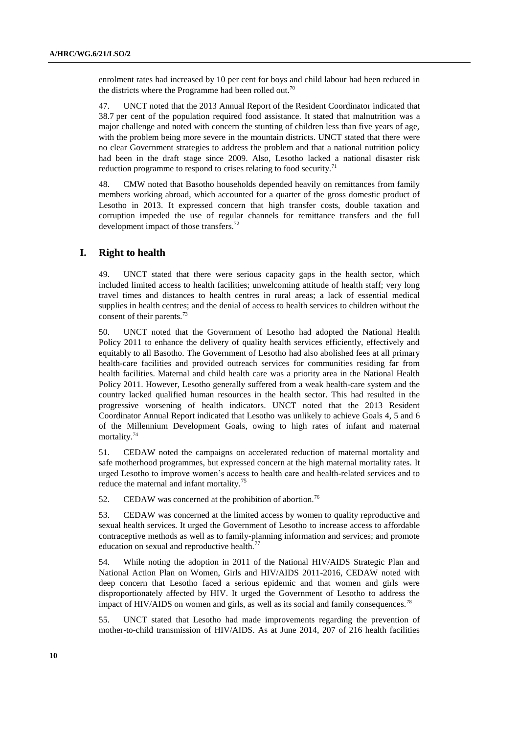enrolment rates had increased by 10 per cent for boys and child labour had been reduced in the districts where the Programme had been rolled out.<sup>70</sup>

47. UNCT noted that the 2013 Annual Report of the Resident Coordinator indicated that 38.7 per cent of the population required food assistance. It stated that malnutrition was a major challenge and noted with concern the stunting of children less than five years of age, with the problem being more severe in the mountain districts. UNCT stated that there were no clear Government strategies to address the problem and that a national nutrition policy had been in the draft stage since 2009. Also, Lesotho lacked a national disaster risk reduction programme to respond to crises relating to food security.<sup>71</sup>

48. CMW noted that Basotho households depended heavily on remittances from family members working abroad, which accounted for a quarter of the gross domestic product of Lesotho in 2013. It expressed concern that high transfer costs, double taxation and corruption impeded the use of regular channels for remittance transfers and the full development impact of those transfers.<sup>72</sup>

#### **I. Right to health**

49. UNCT stated that there were serious capacity gaps in the health sector, which included limited access to health facilities; unwelcoming attitude of health staff; very long travel times and distances to health centres in rural areas; a lack of essential medical supplies in health centres; and the denial of access to health services to children without the consent of their parents.<sup>73</sup>

50. UNCT noted that the Government of Lesotho had adopted the National Health Policy 2011 to enhance the delivery of quality health services efficiently, effectively and equitably to all Basotho. The Government of Lesotho had also abolished fees at all primary health-care facilities and provided outreach services for communities residing far from health facilities. Maternal and child health care was a priority area in the National Health Policy 2011. However, Lesotho generally suffered from a weak health-care system and the country lacked qualified human resources in the health sector. This had resulted in the progressive worsening of health indicators. UNCT noted that the 2013 Resident Coordinator Annual Report indicated that Lesotho was unlikely to achieve Goals 4, 5 and 6 of the Millennium Development Goals, owing to high rates of infant and maternal mortality.<sup>74</sup>

51. CEDAW noted the campaigns on accelerated reduction of maternal mortality and safe motherhood programmes, but expressed concern at the high maternal mortality rates. It urged Lesotho to improve women's access to health care and health-related services and to reduce the maternal and infant mortality.<sup>75</sup>

52. CEDAW was concerned at the prohibition of abortion.<sup>76</sup>

53. CEDAW was concerned at the limited access by women to quality reproductive and sexual health services. It urged the Government of Lesotho to increase access to affordable contraceptive methods as well as to family-planning information and services; and promote education on sexual and reproductive health.<sup>77</sup>

54. While noting the adoption in 2011 of the National HIV/AIDS Strategic Plan and National Action Plan on Women, Girls and HIV/AIDS 2011-2016, CEDAW noted with deep concern that Lesotho faced a serious epidemic and that women and girls were disproportionately affected by HIV. It urged the Government of Lesotho to address the impact of HIV/AIDS on women and girls, as well as its social and family consequences.<sup>78</sup>

55. UNCT stated that Lesotho had made improvements regarding the prevention of mother-to-child transmission of HIV/AIDS. As at June 2014, 207 of 216 health facilities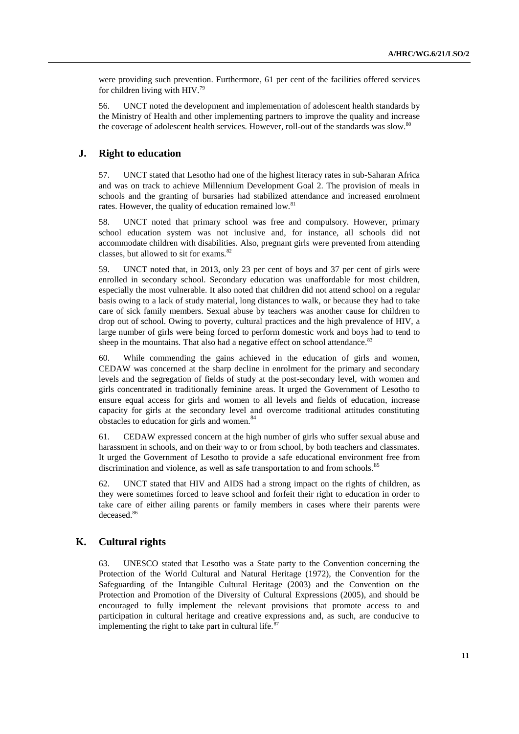were providing such prevention. Furthermore, 61 per cent of the facilities offered services for children living with HIV.<sup>79</sup>

56. UNCT noted the development and implementation of adolescent health standards by the Ministry of Health and other implementing partners to improve the quality and increase the coverage of adolescent health services. However, roll-out of the standards was slow.<sup>80</sup>

#### **J. Right to education**

57. UNCT stated that Lesotho had one of the highest literacy rates in sub-Saharan Africa and was on track to achieve Millennium Development Goal 2. The provision of meals in schools and the granting of bursaries had stabilized attendance and increased enrolment rates. However, the quality of education remained low.<sup>81</sup>

58. UNCT noted that primary school was free and compulsory. However, primary school education system was not inclusive and, for instance, all schools did not accommodate children with disabilities. Also, pregnant girls were prevented from attending classes, but allowed to sit for exams.<sup>82</sup>

59. UNCT noted that, in 2013, only 23 per cent of boys and 37 per cent of girls were enrolled in secondary school. Secondary education was unaffordable for most children, especially the most vulnerable. It also noted that children did not attend school on a regular basis owing to a lack of study material, long distances to walk, or because they had to take care of sick family members. Sexual abuse by teachers was another cause for children to drop out of school. Owing to poverty, cultural practices and the high prevalence of HIV, a large number of girls were being forced to perform domestic work and boys had to tend to sheep in the mountains. That also had a negative effect on school attendance. $83$ 

60. While commending the gains achieved in the education of girls and women, CEDAW was concerned at the sharp decline in enrolment for the primary and secondary levels and the segregation of fields of study at the post-secondary level, with women and girls concentrated in traditionally feminine areas. It urged the Government of Lesotho to ensure equal access for girls and women to all levels and fields of education, increase capacity for girls at the secondary level and overcome traditional attitudes constituting obstacles to education for girls and women.<sup>84</sup>

61. CEDAW expressed concern at the high number of girls who suffer sexual abuse and harassment in schools, and on their way to or from school, by both teachers and classmates. It urged the Government of Lesotho to provide a safe educational environment free from discrimination and violence, as well as safe transportation to and from schools.<sup>85</sup>

62. UNCT stated that HIV and AIDS had a strong impact on the rights of children, as they were sometimes forced to leave school and forfeit their right to education in order to take care of either ailing parents or family members in cases where their parents were deceased.<sup>86</sup>

## **K. Cultural rights**

63. UNESCO stated that Lesotho was a State party to the Convention concerning the Protection of the World Cultural and Natural Heritage (1972), the Convention for the Safeguarding of the Intangible Cultural Heritage (2003) and the Convention on the Protection and Promotion of the Diversity of Cultural Expressions (2005), and should be encouraged to fully implement the relevant provisions that promote access to and participation in cultural heritage and creative expressions and, as such, are conducive to implementing the right to take part in cultural life. $87$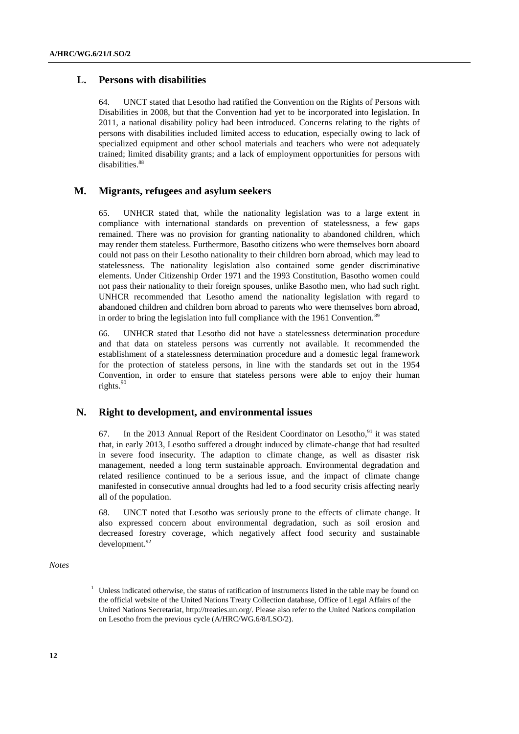## **L. Persons with disabilities**

64. UNCT stated that Lesotho had ratified the Convention on the Rights of Persons with Disabilities in 2008, but that the Convention had yet to be incorporated into legislation. In 2011, a national disability policy had been introduced. Concerns relating to the rights of persons with disabilities included limited access to education, especially owing to lack of specialized equipment and other school materials and teachers who were not adequately trained; limited disability grants; and a lack of employment opportunities for persons with disabilities.<sup>88</sup>

### **M. Migrants, refugees and asylum seekers**

65. UNHCR stated that, while the nationality legislation was to a large extent in compliance with international standards on prevention of statelessness, a few gaps remained. There was no provision for granting nationality to abandoned children, which may render them stateless. Furthermore, Basotho citizens who were themselves born aboard could not pass on their Lesotho nationality to their children born abroad, which may lead to statelessness. The nationality legislation also contained some gender discriminative elements. Under Citizenship Order 1971 and the 1993 Constitution, Basotho women could not pass their nationality to their foreign spouses, unlike Basotho men, who had such right. UNHCR recommended that Lesotho amend the nationality legislation with regard to abandoned children and children born abroad to parents who were themselves born abroad, in order to bring the legislation into full compliance with the 1961 Convention.<sup>89</sup>

66. UNHCR stated that Lesotho did not have a statelessness determination procedure and that data on stateless persons was currently not available. It recommended the establishment of a statelessness determination procedure and a domestic legal framework for the protection of stateless persons, in line with the standards set out in the 1954 Convention, in order to ensure that stateless persons were able to enjoy their human rights. $90$ 

#### **N. Right to development, and environmental issues**

67. In the 2013 Annual Report of the Resident Coordinator on Lesotho,  $91$  it was stated that, in early 2013, Lesotho suffered a drought induced by climate-change that had resulted in severe food insecurity. The adaption to climate change, as well as disaster risk management, needed a long term sustainable approach. Environmental degradation and related resilience continued to be a serious issue, and the impact of climate change manifested in consecutive annual droughts had led to a food security crisis affecting nearly all of the population.

68. UNCT noted that Lesotho was seriously prone to the effects of climate change. It also expressed concern about environmental degradation, such as soil erosion and decreased forestry coverage, which negatively affect food security and sustainable development.<sup>92</sup>

*Notes*

 $1$  Unless indicated otherwise, the status of ratification of instruments listed in the table may be found on the official website of the United Nations Treaty Collection database, Office of Legal Affairs of the United Nations Secretariat, [http://treaties.un.org/.](http://treaties.un.org/) Please also refer to the United Nations compilation on Lesotho from the previous cycle (A/HRC/WG.6/8/LSO/2).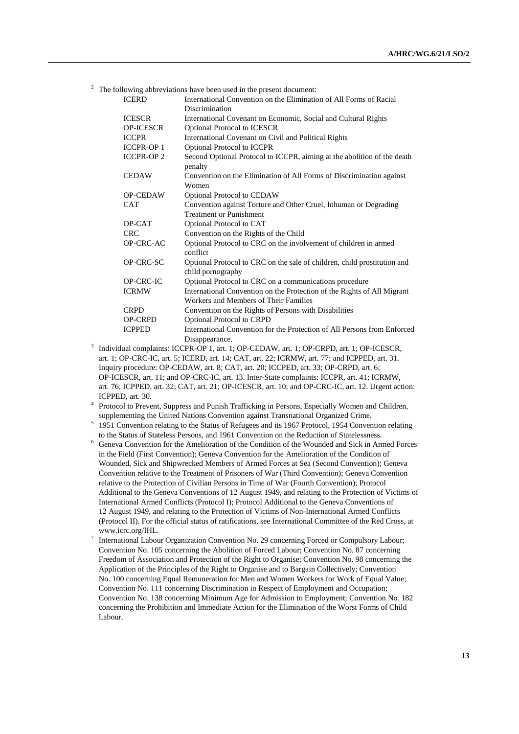$2$  The following abbreviations have been used in the present document:

| <b>ICERD</b>     | International Convention on the Elimination of All Forms of Racial                            |
|------------------|-----------------------------------------------------------------------------------------------|
|                  | Discrimination                                                                                |
| <b>ICESCR</b>    | International Covenant on Economic, Social and Cultural Rights                                |
| <b>OP-ICESCR</b> | <b>Optional Protocol to ICESCR</b>                                                            |
| <b>ICCPR</b>     | International Covenant on Civil and Political Rights                                          |
| <b>ICCPR-OP1</b> | Optional Protocol to ICCPR                                                                    |
| <b>ICCPR-OP2</b> | Second Optional Protocol to ICCPR, aiming at the abolition of the death<br>penalty            |
| <b>CEDAW</b>     | Convention on the Elimination of All Forms of Discrimination against<br>Women                 |
| <b>OP-CEDAW</b>  | <b>Optional Protocol to CEDAW</b>                                                             |
| <b>CAT</b>       | Convention against Torture and Other Cruel, Inhuman or Degrading                              |
|                  | Treatment or Punishment                                                                       |
| OP-CAT           | Optional Protocol to CAT                                                                      |
| <b>CRC</b>       | Convention on the Rights of the Child                                                         |
| OP-CRC-AC        | Optional Protocol to CRC on the involvement of children in armed<br>conflict                  |
| OP-CRC-SC        | Optional Protocol to CRC on the sale of children, child prostitution and<br>child pornography |
| <b>OP-CRC-IC</b> | Optional Protocol to CRC on a communications procedure                                        |
| <b>ICRMW</b>     | International Convention on the Protection of the Rights of All Migrant                       |
|                  | Workers and Members of Their Families                                                         |
| <b>CRPD</b>      | Convention on the Rights of Persons with Disabilities                                         |
| <b>OP-CRPD</b>   | <b>Optional Protocol to CRPD</b>                                                              |
| <b>ICPPED</b>    | International Convention for the Protection of All Persons from Enforced<br>Disappearance.    |

<sup>3</sup> Individual complaints: ICCPR-OP 1, art. 1; OP-CEDAW, art. 1; OP-CRPD, art. 1; OP-ICESCR, art. 1; OP-CRC-IC, art. 5; ICERD, art. 14; CAT, art. 22; ICRMW, art. 77; and ICPPED, art. 31. Inquiry procedure: OP-CEDAW, art. 8; CAT, art. 20; ICCPED, art. 33; OP-CRPD, art. 6; OP-ICESCR, art. 11; and OP-CRC-IC, art. 13. Inter-State complaints: ICCPR, art. 41; ICRMW, art. 76; ICPPED, art. 32; CAT, art. 21; OP-ICESCR, art. 10; and OP-CRC-IC, art. 12. Urgent action: ICPPED, art. 30.

<sup>4</sup> Protocol to Prevent, Suppress and Punish Trafficking in Persons, Especially Women and Children, supplementing the United Nations Convention against Transnational Organized Crime.

5 1951 Convention relating to the Status of Refugees and its 1967 Protocol, 1954 Convention relating to the Status of Stateless Persons, and 1961 Convention on the Reduction of Statelessness.

<sup>6</sup> Geneva Convention for the Amelioration of the Condition of the Wounded and Sick in Armed Forces in the Field (First Convention); Geneva Convention for the Amelioration of the Condition of Wounded, Sick and Shipwrecked Members of Armed Forces at Sea (Second Convention); Geneva Convention relative to the Treatment of Prisoners of War (Third Convention); Geneva Convention relative to the Protection of Civilian Persons in Time of War (Fourth Convention); Protocol Additional to the Geneva Conventions of 12 August 1949, and relating to the Protection of Victims of International Armed Conflicts (Protocol I); Protocol Additional to the Geneva Conventions of 12 August 1949, and relating to the Protection of Victims of Non-International Armed Conflicts (Protocol II). For the official status of ratifications, see International Committee of the Red Cross, at www.icrc.org/IHL.

International Labour Organization Convention No. 29 concerning Forced or Compulsory Labour; Convention No. 105 concerning the Abolition of Forced Labour; Convention No. 87 concerning Freedom of Association and Protection of the Right to Organise; Convention No. 98 concerning the Application of the Principles of the Right to Organise and to Bargain Collectively; Convention No. 100 concerning Equal Remuneration for Men and Women Workers for Work of Equal Value; Convention No. 111 concerning Discrimination in Respect of Employment and Occupation; Convention No. 138 concerning Minimum Age for Admission to Employment; Convention No. 182 concerning the Prohibition and Immediate Action for the Elimination of the Worst Forms of Child Labour.

7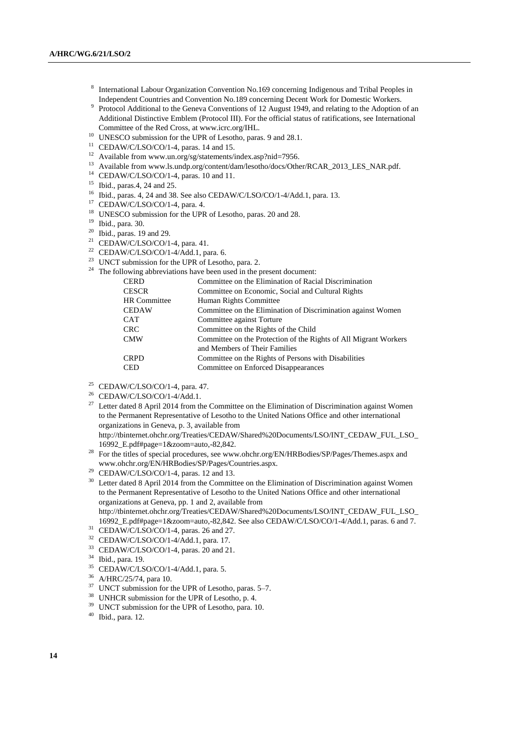- 8 International Labour Organization Convention No.169 concerning Indigenous and Tribal Peoples in Independent Countries and Convention No.189 concerning Decent Work for Domestic Workers.
- 9 Protocol Additional to the Geneva Conventions of 12 August 1949, and relating to the Adoption of an Additional Distinctive Emblem (Protocol III). For the official status of ratifications, see International Committee of the Red Cross, at [www.icrc.org/IHL.](http://www.icrc.org/IHL)
- <sup>10</sup> UNESCO submission for the UPR of Lesotho, paras. 9 and 28.1.
- <sup>11</sup> CEDAW/C/LSO/CO/1-4, paras. 14 and 15.
- <sup>12</sup> Available fro[m www.un.org/sg/statements/index.asp?nid=7956.](../../../../../../Veronique.Lanz/AppData/Local/Temp/www.un.org/sg/statements/index.asp%3fnid=7956)
- <sup>13</sup> Available fro[m www.ls.undp.org/content/dam/lesotho/docs/Other/RCAR\\_2013\\_LES\\_NAR.pdf.](../../../../../../Veronique.Lanz/AppData/Local/Temp/www.ls.undp.org/content/dam/lesotho/docs/Other/RCAR_2013_LES_NAR.pdf)
- <sup>14</sup> CEDAW/C/LSO/CO/1-4, paras. 10 and 11.
- <sup>15</sup> Ibid., paras.4, 24 and 25.
- <sup>16</sup> Ibid., paras. 4, 24 and 38. See also CEDAW/C/LSO/CO/1-4/Add.1, para. 13.
- <sup>17</sup> CEDAW/C/LSO/CO/1-4, para. 4.
- <sup>18</sup> UNESCO submission for the UPR of Lesotho, paras. 20 and 28.
- <sup>19</sup> Ibid., para. 30.
- $20$  Ibid., paras. 19 and 29.
- <sup>21</sup> CEDAW/C/LSO/CO/1-4, para. 41.
- <sup>22</sup> CEDAW/C/LSO/CO/1-4/Add.1, para. 6.
- <sup>23</sup> UNCT submission for the UPR of Lesotho, para. 2.
- $24$  The following abbreviations have been used in the present document:

| CERD                | Committee on the Elimination of Racial Discrimination            |
|---------------------|------------------------------------------------------------------|
| CESCR               | Committee on Economic, Social and Cultural Rights                |
| <b>HR Committee</b> | Human Rights Committee                                           |
| CEDAW               | Committee on the Elimination of Discrimination against Women     |
| CAT                 | Committee against Torture                                        |
| CRC-                | Committee on the Rights of the Child                             |
| CMW                 | Committee on the Protection of the Rights of All Migrant Workers |
|                     | and Members of Their Families                                    |
| CRPD                | Committee on the Rights of Persons with Disabilities             |
| CED                 | Committee on Enforced Disappearances                             |
|                     |                                                                  |

- <sup>25</sup> CEDAW/C/LSO/CO/1-4, para. 47.
- <sup>26</sup> CEDAW/C/LSO/CO/1-4/Add.1.
- <sup>27</sup> Letter dated 8 April 2014 from the Committee on the Elimination of Discrimination against Women to the Permanent Representative of Lesotho to the United Nations Office and other international organizations in Geneva, p. 3, available from

http://tbinternet.ohchr.org/Treaties/CEDAW/Shared%20Documents/LSO/INT\_CEDAW\_FUL\_LSO\_ 16992\_E.pdf#page=1&zoom=auto,-82,842.

- <sup>28</sup> For the titles of special procedures, see www.ohchr.org/EN/HRBodies/SP/Pages/Themes.aspx and www.ohchr.org/EN/HRBodies/SP/Pages/Countries.aspx.
- <sup>29</sup> CEDAW/C/LSO/CO/1-4, paras. 12 and 13.
- <sup>30</sup> Letter dated 8 April 2014 from the Committee on the Elimination of Discrimination against Women to the Permanent Representative of Lesotho to the United Nations Office and other international organizations at Geneva, pp. 1 and 2, available from

http://tbinternet.ohchr.org/Treaties/CEDAW/Shared%20Documents/LSO/INT\_CEDAW\_FUL\_LSO\_ 16992\_E.pdf#page=1&zoom=auto,-82,842. See also CEDAW/C/LSO/CO/1-4/Add.1, paras. 6 and 7.

- $31$  CEDAW/C/LSO/CO/1-4, paras. 26 and 27.
- <sup>32</sup> CEDAW/C/LSO/CO/1-4/Add.1, para. 17.
- <sup>33</sup> CEDAW/C/LSO/CO/1-4, paras. 20 and 21.
- $^{34}$  Ibid., para. 19.<br> $^{35}$  CEDAW/C/LS
- <sup>35</sup> CEDAW/C/LSO/CO/1-4/Add.1, para. 5.<br><sup>36</sup> A/HBC/25/74, para. 10
- $^{36}$  A/HRC/25/74, para 10.<br> $^{37}$  LINGT submission for the
- UNCT submission for the UPR of Lesotho, paras. 5–7.
- <sup>38</sup> UNHCR submission for the UPR of Lesotho, p. 4.
- <sup>39</sup> UNCT submission for the UPR of Lesotho, para. 10.
- <sup>40</sup> Ibid., para. 12.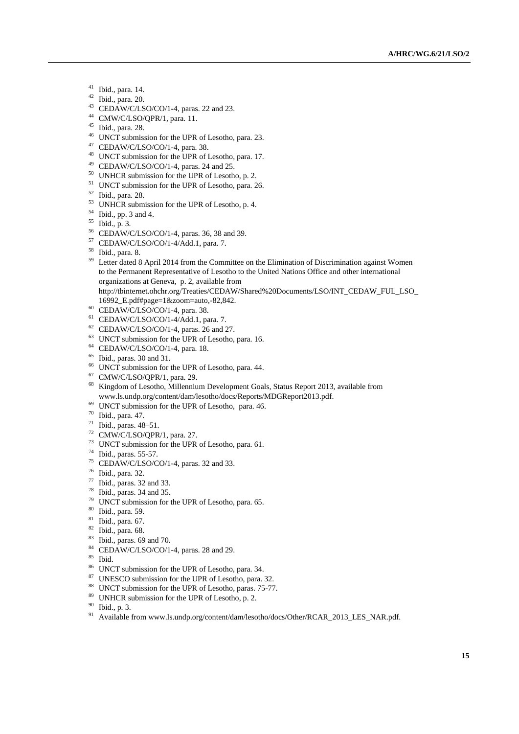- $^{41}$  Ibid., para. 14.
- Ibid., para. 20.
- CEDAW/C/LSO/CO/1-4, paras. 22 and 23.
- CMW/C/LSO/QPR/1, para. 11.
- Ibid., para. 28.
- UNCT submission for the UPR of Lesotho, para. 23.
- CEDAW/C/LSO/CO/1-4, para. 38.
- UNCT submission for the UPR of Lesotho, para. 17.
- CEDAW/C/LSO/CO/1-4, paras. 24 and 25.
- UNHCR submission for the UPR of Lesotho, p. 2.
- UNCT submission for the UPR of Lesotho, para. 26.
- Ibid., para. 28.
- UNHCR submission for the UPR of Lesotho, p. 4.
- Ibid., pp. 3 and 4.
- Ibid., p. 3.
- CEDAW/C/LSO/CO/1-4, paras. 36, 38 and 39.
- CEDAW/C/LSO/CO/1-4/Add.1, para. 7.
- Ibid., para. 8.
- <sup>59</sup> Letter dated 8 April 2014 from the Committee on the Elimination of Discrimination against Women to the Permanent Representative of Lesotho to the United Nations Office and other international organizations at Geneva, p. 2, available from http://tbinternet.ohchr.org/Treaties/CEDAW/Shared%20Documents/LSO/INT\_CEDAW\_FUL\_LSO\_
- 16992\_E.pdf#page=1&zoom=auto,-82,842.
- CEDAW/C/LSO/CO/1-4, para. 38.
- CEDAW/C/LSO/CO/1-4/Add.1, para. 7.
- CEDAW/C/LSO/CO/1-4, paras. 26 and 27.
- UNCT submission for the UPR of Lesotho, para. 16.
- CEDAW/C/LSO/CO/1-4, para. 18.
- Ibid., paras. 30 and 31.
- UNCT submission for the UPR of Lesotho, para. 44.
- CMW/C/LSO/QPR/1, para. 29.
- Kingdom of Lesotho, Millennium Development Goals, Status Report 2013, available from [www.ls.undp.org/content/dam/lesotho/docs/Reports/MDGReport2013.pdf.](../../../../../../Veronique.Lanz/AppData/Local/Temp/www.ls.undp.org/content/dam/lesotho/docs/Reports/MDGReport2013.pdf)
- UNCT submission for the UPR of Lesotho, para. 46.
- Ibid., para. 47.
- Ibid., paras. 48–51.
- CMW/C/LSO/QPR/1, para. 27.
- UNCT submission for the UPR of Lesotho, para. 61.
- Ibid., paras. 55-57.
- CEDAW/C/LSO/CO/1-4, paras. 32 and 33.
- Ibid., para. 32.
- Ibid., paras. 32 and 33.
- Ibid., paras. 34 and 35.
- UNCT submission for the UPR of Lesotho, para. 65.
- Ibid., para. 59.
- Ibid., para. 67.
- $\frac{82}{83}$  Ibid., para. 68.
- <sup>83</sup> Ibid., paras. 69 and 70.<br><sup>84</sup> CEDAW/C/LSO/CO/1
- CEDAW/C/LSO/CO/1-4, paras. 28 and 29.
- $\frac{85}{86}$  Ibid.
- UNCT submission for the UPR of Lesotho, para. 34.
- UNESCO submission for the UPR of Lesotho, para. 32.
- UNCT submission for the UPR of Lesotho, paras. 75-77.
- UNHCR submission for the UPR of Lesotho, p. 2.
- $\frac{90}{91}$  Ibid., p. 3.
- Available fro[m www.ls.undp.org/content/dam/lesotho/docs/Other/RCAR\\_2013\\_LES\\_NAR.pdf.](../../../../../../Veronique.Lanz/AppData/Local/Temp/www.ls.undp.org/content/dam/lesotho/docs/Other/RCAR_2013_LES_NAR.pdf)